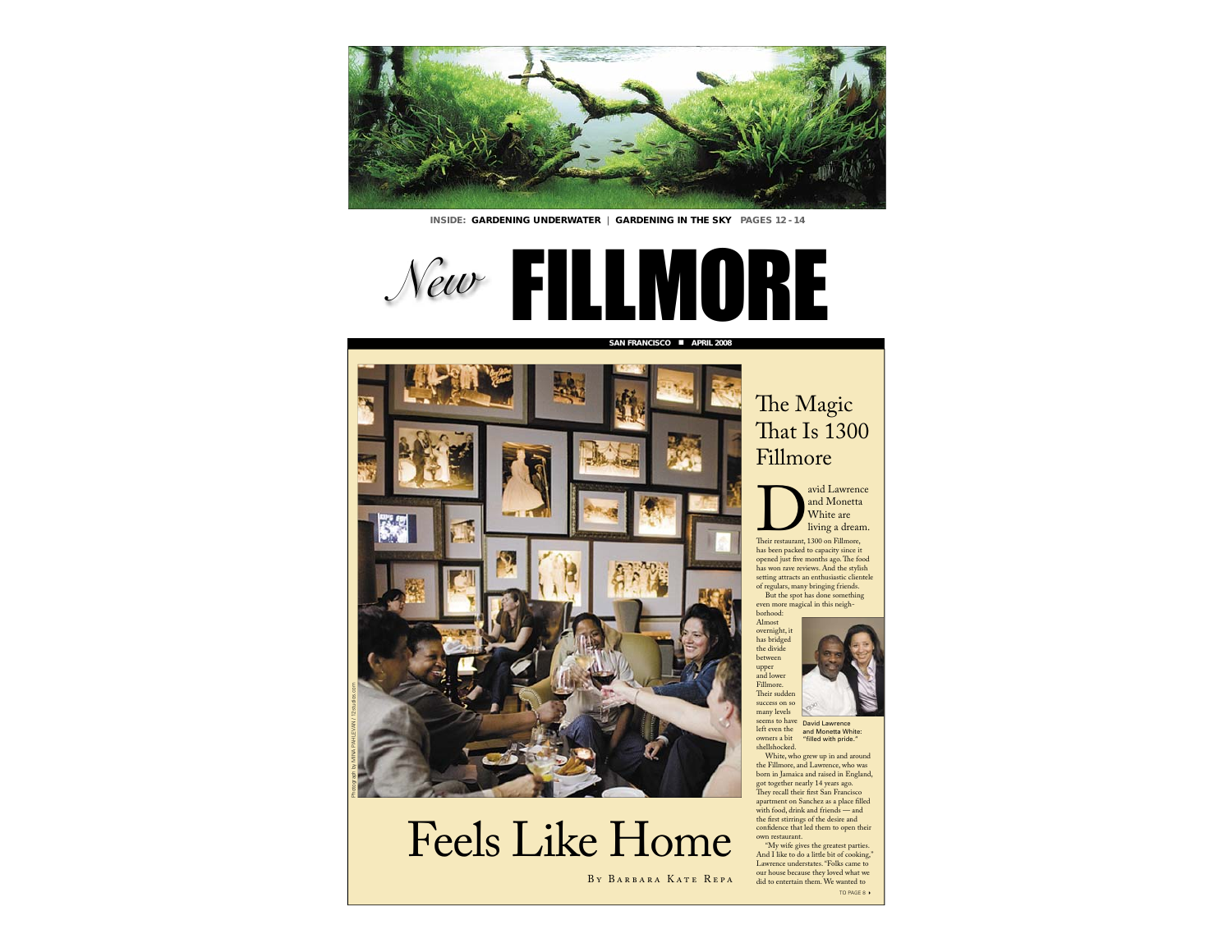

**INSIDE: GARDENING UNDERWATER | GARDENING IN THE SKY PAGES 12 - 14** 

**SAN FRANCISCO** ■

**APRIL 2008**





## Feels Like Home

BY BARBARA KATE REPA

### The Magic That Is 1300Fillmore



avid Lawrence<br>
and Monetta<br>
White are<br>
living a dream. White are

Their restaurant, 1300 on Fillmore, has been packed to capacity since it opened just five months ago. The food has won rave reviews. And the stylish setting attracts an enthusiastic clientele of regulars, many bringing friends.

But the spot has done something even more magical in this neigh-

borhood: Almost overnight, it has bridged the divide between upper and lower Fillmore. Their sudden success on so many levels seems to have left even the owners a bit

shellshocked.



David Lawrence and Monetta White: "filled with pride."

 White, who grew up in and around the Fillmore, and Lawrence, who was born in Jamaica and raised in England, got together nearly 14 years ago. They recall their first San Francisc apartment on Sanchez as a place filled with food, drink and friends — and the first stirrings of the desire and confidence that led them to open their own restaurant.

 "My wife gives the greatest parties. And I like to do a little bit of cooking," Lawrence understates. "Folks came to our house because they loved what we did to entertain them. We wanted to TO PAGE 8  $\,\blacktriangleright$